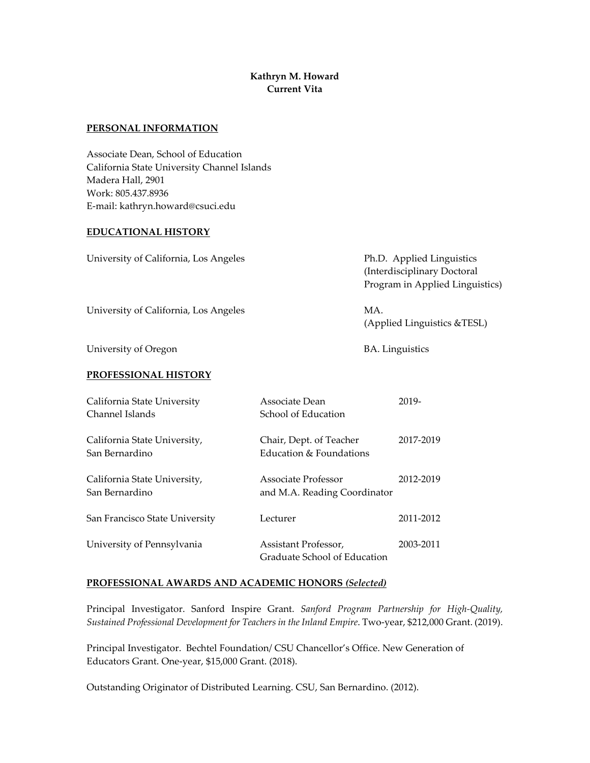# **Kathryn M. Howard Current Vita**

#### **PERSONAL INFORMATION**

Associate Dean, School of Education California State University Channel Islands Madera Hall, 2901 Work: 805.437.8936 E-mail: kathryn.howard@csuci.edu

### **EDUCATIONAL HISTORY**

| Ph.D. Applied Linguistics<br>(Interdisciplinary Doctoral<br>Program in Applied Linguistics) |
|---------------------------------------------------------------------------------------------|
| MA.<br>(Applied Linguistics & TESL)                                                         |
| <b>BA.</b> Linguistics                                                                      |
|                                                                                             |

#### **PROFESSIONAL HISTORY**

| California State University<br>Channel Islands | Associate Dean<br>School of Education                 | 2019-     |
|------------------------------------------------|-------------------------------------------------------|-----------|
| California State University,<br>San Bernardino | Chair, Dept. of Teacher<br>Education $\&$ Foundations | 2017-2019 |
| California State University,<br>San Bernardino | Associate Professor<br>and M.A. Reading Coordinator   | 2012-2019 |
| San Francisco State University                 | Lecturer                                              | 2011-2012 |
| University of Pennsylvania                     | Assistant Professor,<br>Graduate School of Education  | 2003-2011 |

### **PROFESSIONAL AWARDS AND ACADEMIC HONORS** *(Selected)*

Principal Investigator. Sanford Inspire Grant. *Sanford Program Partnership for High-Quality, Sustained Professional Development for Teachers in the Inland Empire*. Two-year, \$212,000 Grant. (2019).

Principal Investigator. Bechtel Foundation/ CSU Chancellor's Office. New Generation of Educators Grant. One-year, \$15,000 Grant. (2018).

Outstanding Originator of Distributed Learning. CSU, San Bernardino. (2012).